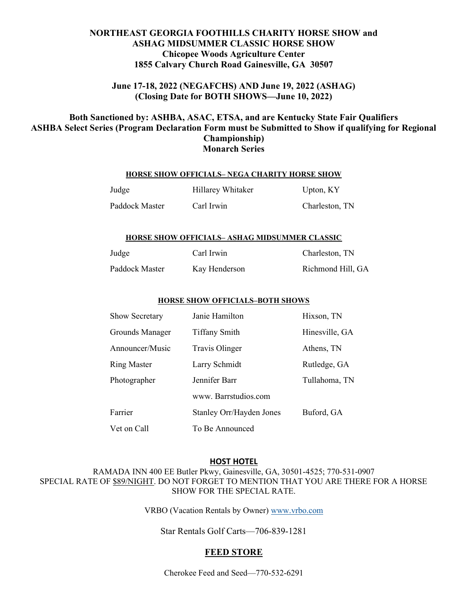# NORTHEAST GEORGIA FOOTHILLS CHARITY HORSE SHOW and ASHAG MIDSUMMER CLASSIC HORSE SHOW Chicopee Woods Agriculture Center 1855 Calvary Church Road Gainesville, GA 30507

# June 17-18, 2022 (NEGAFCHS) AND June 19, 2022 (ASHAG) (Closing Date for BOTH SHOWS—June 10, 2022)

### Both Sanctioned by: ASHBA, ASAC, ETSA, and are Kentucky State Fair Qualifiers ASHBA Select Series (Program Declaration Form must be Submitted to Show if qualifying for Regional Championship) Monarch Series

#### HORSE SHOW OFFICIALS– NEGA CHARITY HORSE SHOW

| Judge          | Hillarey Whitaker | Upton, KY      |
|----------------|-------------------|----------------|
| Paddock Master | Carl Irwin        | Charleston, TN |

#### HORSE SHOW OFFICIALS– ASHAG MIDSUMMER CLASSIC

| Judge          | Carl Irwin    | Charleston, TN    |
|----------------|---------------|-------------------|
| Paddock Master | Kay Henderson | Richmond Hill, GA |

#### HORSE SHOW OFFICIALS–BOTH SHOWS

| <b>Show Secretary</b> | Janie Hamilton           | Hixson, TN     |
|-----------------------|--------------------------|----------------|
| Grounds Manager       | <b>Tiffany Smith</b>     | Hinesville, GA |
| Announcer/Music       | Travis Olinger           | Athens, TN     |
| <b>Ring Master</b>    | Larry Schmidt            | Rutledge, GA   |
| Photographer          | Jennifer Barr            | Tullahoma, TN  |
|                       | www. Barrstudios.com     |                |
| Farrier               | Stanley Orr/Hayden Jones | Buford, GA     |
| Vet on Call           | To Be Announced          |                |

#### HOST HOTEL

RAMADA INN 400 EE Butler Pkwy, Gainesville, GA, 30501-4525; 770-531-0907 SPECIAL RATE OF \$89/NIGHT. DO NOT FORGET TO MENTION THAT YOU ARE THERE FOR A HORSE SHOW FOR THE SPECIAL RATE.

VRBO (Vacation Rentals by Owner) www.vrbo.com

Star Rentals Golf Carts—706-839-1281

#### FEED STORE

Cherokee Feed and Seed—770-532-6291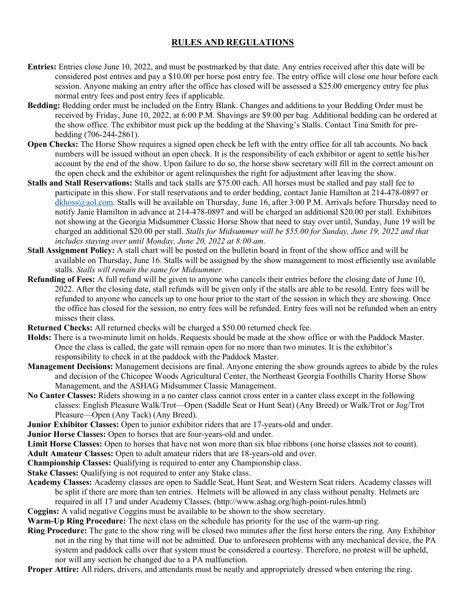# RULES AND REGULATIONS

- Entries: Entries close June 10, 2022, and must be postmarked by that date. Any entries received after this date will be considered post entries and pay a \$10.00 per horse post entry fee. The entry office will close one hour before each session. Anyone making an entry after the office has closed will be assessed a \$25.00 emergency entry fee plus normal entry fees and post entry fees if applicable.
- Bedding: Bedding order must be included on the Entry Blank. Changes and additions to your Bedding Order must be received by Friday, June 10, 2022, at 6:00 P.M. Shavings are \$9.00 per bag. Additional bedding can be ordered at the show office. The exhibitor must pick up the bedding at the Shaving's Stalls. Contact Tina Smith for prebedding (706-244-2861).
- Open Checks: The Horse Show requires a signed open check be left with the entry office for all tab accounts. No back numbers will be issued without an open check. It is the responsibility of each exhibitor or agent to settle his/her account by the end of the show. Upon failure to do so, the horse show secretary will fill in the correct amount on the open check and the exhibitor or agent relinquishes the right for adjustment after leaving the show.
- Stalls and Stall Reservations: Stalls and tack stalls are \$75.00 each. All horses must be stalled and pay stall fee to participate in this show. For stall reservations and to order bedding, contact Janie Hamilton at 214-478-0897 or dkhoss@aol.com. Stalls will be available on Thursday, June 16, after 3:00 P.M. Arrivals before Thursday need to notify Janie Hamilton in advance at 214-478-0897 and will be charged an additional \$20.00 per stall. Exhibitors not showing at the Georgia Midsummer Classic Horse Show that need to stay over until, Sunday, June 19 will be charged an additional \$20.00 per stall. Stalls for Midsummer will be \$55.00 for Sunday, June 19, 2022 and that includes staying over until Monday, June 20, 2022 at 8:00 am.
- Stall Assignment Policy: A stall chart will be posted on the bulletin board in front of the show office and will be available on Thursday, June 16. Stalls will be assigned by the show management to most efficiently use available stalls. Stalls will remain the same for Midsummer.
- Refunding of Fees: A full refund will be given to anyone who cancels their entries before the closing date of June 10, 2022. After the closing date, stall refunds will be given only if the stalls are able to be resold. Entry fees will be refunded to anyone who cancels up to one hour prior to the start of the session in which they are showing. Once the office has closed for the session, no entry fees will be refunded. Entry fees will not be refunded when an entry misses their class.

Returned Checks: All returned checks will be charged a \$50.00 returned check fee.

- Holds: There is a two-minute limit on holds. Requests should be made at the show office or with the Paddock Master. Once the class is called, the gate will remain open for no more than two minutes. It is the exhibitor's responsibility to check in at the paddock with the Paddock Master.
- Management Decisions: Management decisions are final. Anyone entering the show grounds agrees to abide by the rules and decision of the Chicopee Woods Agricultural Center, the Northeast Georgia Foothills Charity Horse Show Management, and the ASHAG Midsummer Classic Management.
- No Canter Classes: Riders showing in a no canter class cannot cross enter in a canter class except in the following classes: English Pleasure Walk/Trot—Open (Saddle Seat or Hunt Seat) (Any Breed) or Walk/Trot or Jog/Trot Pleasure—Open (Any Tack) (Any Breed).

Junior Exhibitor Classes: Open to junior exhibitor riders that are 17-years-old and under.

Junior Horse Classes: Open to horses that are four-years-old and under.

Limit Horse Classes: Open to horses that have not won more than six blue ribbons (one horse classes not to count).

Adult Amateur Classes: Open to adult amateur riders that are 18-years-old and over.

Championship Classes: Qualifying is required to enter any Championship class.

Stake Classes: Qualifying is not required to enter any Stake class.

Academy Classes: Academy classes are open to Saddle Seat, Hunt Seat, and Western Seat riders. Academy classes will be split if there are more than ten entries. Helmets will be allowed in any class without penalty. Helmets are required in all 17 and under Academy Classes. (http://www.ashag.org/high-point-rules.html)

Coggins: A valid negative Coggins must be available to be shown to the show secretary.

Warm-Up Ring Procedure: The next class on the schedule has priority for the use of the warm-up ring.

Ring Procedure: The gate to the show ring will be closed two minutes after the first horse enters the ring. Any Exhibitor not in the ring by that time will not be admitted. Due to unforeseen problems with any mechanical device, the PA system and paddock calls over that system must be considered a courtesy. Therefore, no protest will be upheld, nor will any section be changed due to a PA malfunction.

Proper Attire: All riders, drivers, and attendants must be neatly and appropriately dressed when entering the ring.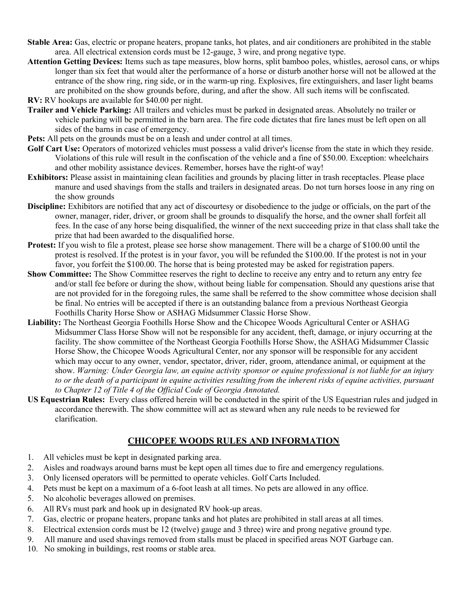- Stable Area: Gas, electric or propane heaters, propane tanks, hot plates, and air conditioners are prohibited in the stable area. All electrical extension cords must be 12-gauge, 3 wire, and prong negative type.
- Attention Getting Devices: Items such as tape measures, blow horns, split bamboo poles, whistles, aerosol cans, or whips longer than six feet that would alter the performance of a horse or disturb another horse will not be allowed at the entrance of the show ring, ring side, or in the warm-up ring. Explosives, fire extinguishers, and laser light beams are prohibited on the show grounds before, during, and after the show. All such items will be confiscated.
- RV: RV hookups are available for \$40.00 per night.
- Trailer and Vehicle Parking: All trailers and vehicles must be parked in designated areas. Absolutely no trailer or vehicle parking will be permitted in the barn area. The fire code dictates that fire lanes must be left open on all sides of the barns in case of emergency.
- Pets: All pets on the grounds must be on a leash and under control at all times.
- Golf Cart Use: Operators of motorized vehicles must possess a valid driver's license from the state in which they reside. Violations of this rule will result in the confiscation of the vehicle and a fine of \$50.00. Exception: wheelchairs and other mobility assistance devices. Remember, horses have the right-of way!
- Exhibitors: Please assist in maintaining clean facilities and grounds by placing litter in trash receptacles. Please place manure and used shavings from the stalls and trailers in designated areas. Do not turn horses loose in any ring on the show grounds
- Discipline: Exhibitors are notified that any act of discourtesy or disobedience to the judge or officials, on the part of the owner, manager, rider, driver, or groom shall be grounds to disqualify the horse, and the owner shall forfeit all fees. In the case of any horse being disqualified, the winner of the next succeeding prize in that class shall take the prize that had been awarded to the disqualified horse.
- Protest: If you wish to file a protest, please see horse show management. There will be a charge of \$100.00 until the protest is resolved. If the protest is in your favor, you will be refunded the \$100.00. If the protest is not in your favor, you forfeit the \$100.00. The horse that is being protested may be asked for registration papers.
- Show Committee: The Show Committee reserves the right to decline to receive any entry and to return any entry fee and/or stall fee before or during the show, without being liable for compensation. Should any questions arise that are not provided for in the foregoing rules, the same shall be referred to the show committee whose decision shall be final. No entries will be accepted if there is an outstanding balance from a previous Northeast Georgia Foothills Charity Horse Show or ASHAG Midsummer Classic Horse Show.
- Liability: The Northeast Georgia Foothills Horse Show and the Chicopee Woods Agricultural Center or ASHAG Midsummer Class Horse Show will not be responsible for any accident, theft, damage, or injury occurring at the facility. The show committee of the Northeast Georgia Foothills Horse Show, the ASHAG Midsummer Classic Horse Show, the Chicopee Woods Agricultural Center, nor any sponsor will be responsible for any accident which may occur to any owner, vendor, spectator, driver, rider, groom, attendance animal, or equipment at the show. Warning: Under Georgia law, an equine activity sponsor or equine professional is not liable for an injury to or the death of a participant in equine activities resulting from the inherent risks of equine activities, pursuant to Chapter 12 of Title 4 of the Official Code of Georgia Annotated.
- US Equestrian Rules: Every class offered herein will be conducted in the spirit of the US Equestrian rules and judged in accordance therewith. The show committee will act as steward when any rule needs to be reviewed for clarification.

# CHICOPEE WOODS RULES AND INFORMATION

- 1. All vehicles must be kept in designated parking area.
- 2. Aisles and roadways around barns must be kept open all times due to fire and emergency regulations.
- 3. Only licensed operators will be permitted to operate vehicles. Golf Carts Included.
- 4. Pets must be kept on a maximum of a 6-foot leash at all times. No pets are allowed in any office.
- 5. No alcoholic beverages allowed on premises.
- 6. All RVs must park and hook up in designated RV hook-up areas.
- 7. Gas, electric or propane heaters, propane tanks and hot plates are prohibited in stall areas at all times.
- 8. Electrical extension cords must be 12 (twelve) gauge and 3 three) wire and prong negative ground type.
- 9. All manure and used shavings removed from stalls must be placed in specified areas NOT Garbage can.
- 10. No smoking in buildings, rest rooms or stable area.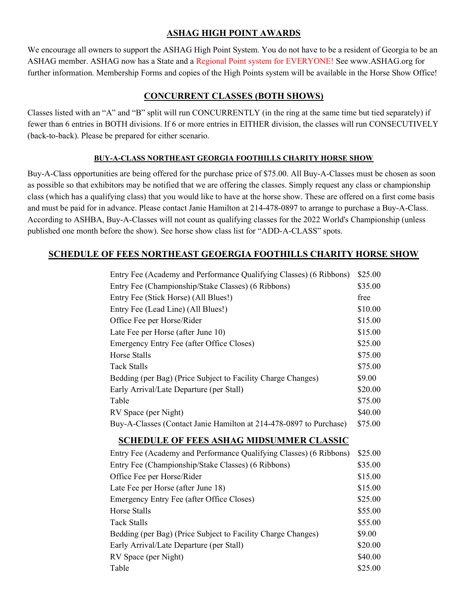# ASHAG HIGH POINT AWARDS

We encourage all owners to support the ASHAG High Point System. You do not have to be a resident of Georgia to be an ASHAG member. ASHAG now has a State and a Regional Point system for EVERYONE! See www.ASHAG.org for further information. Membership Forms and copies of the High Points system will be available in the Horse Show Office!

# CONCURRENT CLASSES (BOTH SHOWS)

Classes listed with an "A" and "B" split will run CONCURRENTLY (in the ring at the same time but tied separately) if fewer than 6 entries in BOTH divisions. If 6 or more entries in EITHER division, the classes will run CONSECUTIVELY (back-to-back). Please be prepared for either scenario.

## BUY-A-CLASS NORTHEAST GEORGIA FOOTHILLS CHARITY HORSE SHOW

Buy-A-Class opportunities are being offered for the purchase price of \$75.00. All Buy-A-Classes must be chosen as soon as possible so that exhibitors may be notified that we are offering the classes. Simply request any class or championship class (which has a qualifying class) that you would like to have at the horse show. These are offered on a first come basis and must be paid for in advance. Please contact Janie Hamilton at 214-478-0897 to arrange to purchase a Buy-A-Class. According to ASHBA, Buy-A-Classes will not count as qualifying classes for the 2022 World's Championship (unless published one month before the show). See horse show class list for "ADD-A-CLASS" spots.

# SCHEDULE OF FEES NORTHEAST GEOERGIA FOOTHILLS CHARITY HORSE SHOW

| Entry Fee (Academy and Performance Qualifying Classes) (6 Ribbons) | \$25.00 |
|--------------------------------------------------------------------|---------|
| Entry Fee (Championship/Stake Classes) (6 Ribbons)                 | \$35.00 |
| Entry Fee (Stick Horse) (All Blues!)                               | free    |
| Entry Fee (Lead Line) (All Blues!)                                 | \$10.00 |
| Office Fee per Horse/Rider                                         | \$15.00 |
| Late Fee per Horse (after June 10)                                 | \$15.00 |
| Emergency Entry Fee (after Office Closes)                          | \$25.00 |
| <b>Horse Stalls</b>                                                | \$75.00 |
| <b>Tack Stalls</b>                                                 | \$75.00 |
| Bedding (per Bag) (Price Subject to Facility Charge Changes)       | \$9.00  |
| Early Arrival/Late Departure (per Stall)                           | \$20.00 |
| Table                                                              | \$75.00 |
| RV Space (per Night)                                               | \$40.00 |
| Buy-A-Classes (Contact Janie Hamilton at 214-478-0897 to Purchase) | \$75.00 |
| <b>SCHEDULE OF FEES ASHAG MIDSUMMER CLASSIC</b>                    |         |
| Entry Fee (Academy and Performance Qualifying Classes) (6 Ribbons) | \$25.00 |
| Entry Fee (Championship/Stake Classes) (6 Ribbons)                 | \$35.00 |
| Office Fee per Horse/Rider                                         | \$15.00 |
| Late Fee per Horse (after June 18)                                 | \$15.00 |
| Emergency Entry Fee (after Office Closes)                          | \$25.00 |
| Horse Stalls                                                       | \$55.00 |
| <b>Tack Stalls</b>                                                 | \$55.00 |
| Bedding (per Bag) (Price Subject to Facility Charge Changes)       | \$9.00  |
| Early Arrival/Late Departure (per Stall)                           | \$20.00 |

RV Space (per Night)  $$40.00$  $\text{Table}$   $\$25.00$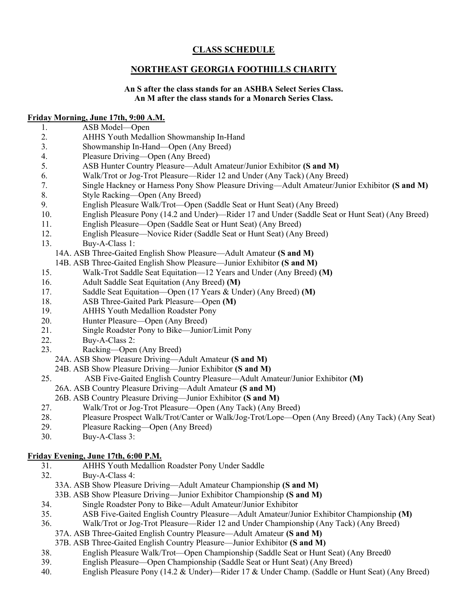# CLASS SCHEDULE

# NORTHEAST GEORGIA FOOTHILLS CHARITY

### An S after the class stands for an ASHBA Select Series Class. An M after the class stands for a Monarch Series Class.

### Friday Morning, June 17th, 9:00 A.M.

- 1. ASB Model—Open
- 2. AHHS Youth Medallion Showmanship In-Hand
- 3. Showmanship In-Hand—Open (Any Breed)
- 4. Pleasure Driving—Open (Any Breed)
- 5. ASB Hunter Country Pleasure—Adult Amateur/Junior Exhibitor (S and M)
- 6. Walk/Trot or Jog-Trot Pleasure—Rider 12 and Under (Any Tack) (Any Breed)
- 7. Single Hackney or Harness Pony Show Pleasure Driving—Adult Amateur/Junior Exhibitor (S and M)
- 8. Style Racking—Open (Any Breed)
- 9. English Pleasure Walk/Trot—Open (Saddle Seat or Hunt Seat) (Any Breed)
- 10. English Pleasure Pony (14.2 and Under)—Rider 17 and Under (Saddle Seat or Hunt Seat) (Any Breed)
- 11. English Pleasure—Open (Saddle Seat or Hunt Seat) (Any Breed)
- 12. English Pleasure—Novice Rider (Saddle Seat or Hunt Seat) (Any Breed)
- 13. Buy-A-Class 1:

### 14A. ASB Three-Gaited English Show Pleasure—Adult Amateur (S and M)

- 14B. ASB Three-Gaited English Show Pleasure—Junior Exhibitor (S and M)
- 15. Walk-Trot Saddle Seat Equitation—12 Years and Under (Any Breed) (M)
- 16. Adult Saddle Seat Equitation (Any Breed) (M)
- 17. Saddle Seat Equitation—Open (17 Years & Under) (Any Breed) (M)
- 18. ASB Three-Gaited Park Pleasure—Open (M)
- 19. AHHS Youth Medallion Roadster Pony
- 20. Hunter Pleasure—Open (Any Breed)
- 21. Single Roadster Pony to Bike—Junior/Limit Pony
- 22. Buy-A-Class 2:
- 23. Racking—Open (Any Breed)
	- 24A. ASB Show Pleasure Driving—Adult Amateur (S and M)
	- 24B. ASB Show Pleasure Driving—Junior Exhibitor (S and M)
- 25. ASB Five-Gaited English Country Pleasure—Adult Amateur/Junior Exhibitor (M)
- 26A. ASB Country Pleasure Driving—Adult Amateur (S and M)
- 26B. ASB Country Pleasure Driving—Junior Exhibitor (S and M)
- 27. Walk/Trot or Jog-Trot Pleasure—Open (Any Tack) (Any Breed)
- 28. Pleasure Prospect Walk/Trot/Canter or Walk/Jog-Trot/Lope—Open (Any Breed) (Any Tack) (Any Seat)
- 29. Pleasure Racking—Open (Any Breed)
- 30. Buy-A-Class 3:

### Friday Evening, June 17th, 6:00 P.M.

- 31. AHHS Youth Medallion Roadster Pony Under Saddle
- 32. Buy-A-Class 4:
	- 33A. ASB Show Pleasure Driving—Adult Amateur Championship (S and M)
	- 33B. ASB Show Pleasure Driving—Junior Exhibitor Championship (S and M)
- 34. Single Roadster Pony to Bike—Adult Amateur/Junior Exhibitor
- 35. ASB Five-Gaited English Country Pleasure—Adult Amateur/Junior Exhibitor Championship (M)
- 36. Walk/Trot or Jog-Trot Pleasure—Rider 12 and Under Championship (Any Tack) (Any Breed)
	- 37A. ASB Three-Gaited English Country Pleasure—Adult Amateur (S and M)
	- 37B. ASB Three-Gaited English Country Pleasure—Junior Exhibitor (S and M)
- 38. English Pleasure Walk/Trot—Open Championship (Saddle Seat or Hunt Seat) (Any Breed0
- 39. English Pleasure—Open Championship (Saddle Seat or Hunt Seat) (Any Breed)
- 40. English Pleasure Pony (14.2 & Under)—Rider 17 & Under Champ. (Saddle or Hunt Seat) (Any Breed)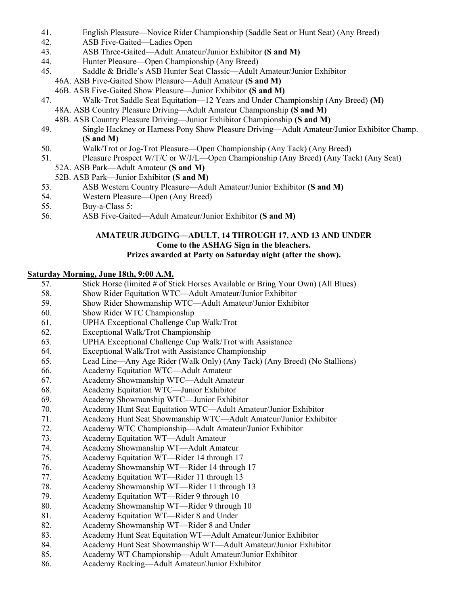- 41. English Pleasure—Novice Rider Championship (Saddle Seat or Hunt Seat) (Any Breed)
- 42. ASB Five-Gaited—Ladies Open
- 43. ASB Three-Gaited—Adult Amateur/Junior Exhibitor (S and M)
- 44. Hunter Pleasure—Open Championship (Any Breed)
- 45. Saddle & Bridle's ASB Hunter Seat Classic—Adult Amateur/Junior Exhibitor
	- 46A. ASB Five-Gaited Show Pleasure—Adult Amateur (S and M)
		- 46B. ASB Five-Gaited Show Pleasure—Junior Exhibitor (S and M)
- 47. Walk-Trot Saddle Seat Equitation—12 Years and Under Championship (Any Breed) (M) 48A. ASB Country Pleasure Driving—Adult Amateur Championship (S and M)
	- 48B. ASB Country Pleasure Driving—Junior Exhibitor Championship (S and M)
- 49. Single Hackney or Harness Pony Show Pleasure Driving—Adult Amateur/Junior Exhibitor Champ. (S and M)
- 50. Walk/Trot or Jog-Trot Pleasure—Open Championship (Any Tack) (Any Breed)
- 51. Pleasure Prospect W/T/C or W/J/L—Open Championship (Any Breed) (Any Tack) (Any Seat)
- 52A. ASB Park—Adult Amateur (S and M)

# 52B. ASB Park—Junior Exhibitor (S and M)

- 53. ASB Western Country Pleasure—Adult Amateur/Junior Exhibitor (S and M)
- 54. Western Pleasure—Open (Any Breed)
- 55. Buy-a-Class 5:
- 56. ASB Five-Gaited—Adult Amateur/Junior Exhibitor (S and M)

#### AMATEUR JUDGING—ADULT, 14 THROUGH 17, AND 13 AND UNDER Come to the ASHAG Sign in the bleachers. Prizes awarded at Party on Saturday night (after the show).

#### Saturday Morning, June 18th, 9:00 A.M.

- 57. Stick Horse (limited # of Stick Horses Available or Bring Your Own) (All Blues)
- 58. Show Rider Equitation WTC—Adult Amateur/Junior Exhibitor
- 59. Show Rider Showmanship WTC—Adult Amateur/Junior Exhibitor
- 60. Show Rider WTC Championship
- 61. UPHA Exceptional Challenge Cup Walk/Trot
- 62. Exceptional Walk/Trot Championship
- 63. UPHA Exceptional Challenge Cup Walk/Trot with Assistance
- 64. Exceptional Walk/Trot with Assistance Championship
- 65. Lead Line—Any Age Rider (Walk Only) (Any Tack) (Any Breed) (No Stallions)
- 66. Academy Equitation WTC—Adult Amateur
- 67. Academy Showmanship WTC—Adult Amateur
- 68. Academy Equitation WTC—Junior Exhibitor
- 69. Academy Showmanship WTC—Junior Exhibitor
- 70. Academy Hunt Seat Equitation WTC—Adult Amateur/Junior Exhibitor
- 71. Academy Hunt Seat Showmanship WTC—Adult Amateur/Junior Exhibitor
- 72. Academy WTC Championship—Adult Amateur/Junior Exhibitor
- 73. Academy Equitation WT—Adult Amateur
- 74. Academy Showmanship WT—Adult Amateur
- 75. Academy Equitation WT—Rider 14 through 17
- 76. Academy Showmanship WT—Rider 14 through 17
- 77. Academy Equitation WT—Rider 11 through 13
- 78. Academy Showmanship WT—Rider 11 through 13
- 79. Academy Equitation WT—Rider 9 through 10
- 80. Academy Showmanship WT—Rider 9 through 10
- 81. Academy Equitation WT—Rider 8 and Under
- 82. Academy Showmanship WT—Rider 8 and Under
- 83. Academy Hunt Seat Equitation WT—Adult Amateur/Junior Exhibitor
- 84. Academy Hunt Seat Showmanship WT—Adult Amateur/Junior Exhibitor
- 85. Academy WT Championship—Adult Amateur/Junior Exhibitor
- 86. Academy Racking—Adult Amateur/Junior Exhibitor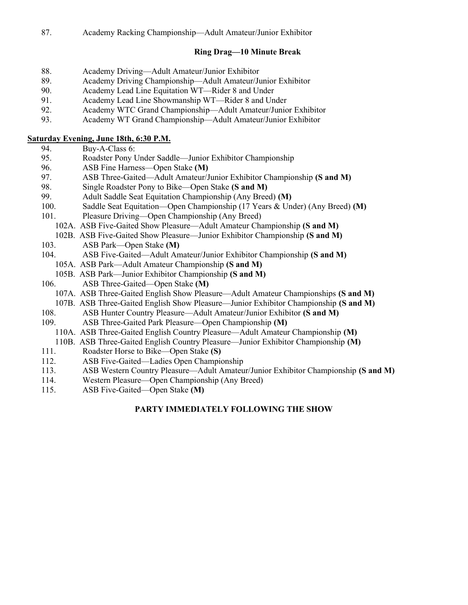#### Ring Drag—10 Minute Break

- 88. Academy Driving—Adult Amateur/Junior Exhibitor
- 89. Academy Driving Championship—Adult Amateur/Junior Exhibitor
- 90. Academy Lead Line Equitation WT—Rider 8 and Under
- 91. Academy Lead Line Showmanship WT—Rider 8 and Under
- 92. Academy WTC Grand Championship—Adult Amateur/Junior Exhibitor
- 93. Academy WT Grand Championship—Adult Amateur/Junior Exhibitor

#### Saturday Evening, June 18th, 6:30 P.M.

### 94. Buy-A-Class 6:

- 95. Roadster Pony Under Saddle—Junior Exhibitor Championship
- 96. ASB Fine Harness—Open Stake (M)
- 97. ASB Three-Gaited—Adult Amateur/Junior Exhibitor Championship (S and M)
- 98. Single Roadster Pony to Bike—Open Stake (S and M)
- 99. Adult Saddle Seat Equitation Championship (Any Breed) (M)
- 100. Saddle Seat Equitation—Open Championship (17 Years & Under) (Any Breed) (M)
- 101. Pleasure Driving—Open Championship (Any Breed)
	- 102A. ASB Five-Gaited Show Pleasure—Adult Amateur Championship (S and M)
	- 102B. ASB Five-Gaited Show Pleasure—Junior Exhibitor Championship (S and M)
- 103. ASB Park—Open Stake (M)
- 104. ASB Five-Gaited—Adult Amateur/Junior Exhibitor Championship (S and M)
- 105A. ASB Park—Adult Amateur Championship (S and M)
- 105B. ASB Park—Junior Exhibitor Championship (S and M)
- 106. ASB Three-Gaited—Open Stake (M)
	- 107A. ASB Three-Gaited English Show Pleasure—Adult Amateur Championships (S and M)
- 107B. ASB Three-Gaited English Show Pleasure—Junior Exhibitor Championship (S and M)
- 108. ASB Hunter Country Pleasure—Adult Amateur/Junior Exhibitor (S and M)
- 109. ASB Three-Gaited Park Pleasure—Open Championship (M)
	- 110A. ASB Three-Gaited English Country Pleasure—Adult Amateur Championship (M)
	- 110B. ASB Three-Gaited English Country Pleasure—Junior Exhibitor Championship (M)
- 111. Roadster Horse to Bike—Open Stake (S)
- 112. ASB Five-Gaited—Ladies Open Championship
- 113. ASB Western Country Pleasure—Adult Amateur/Junior Exhibitor Championship (S and M)
- 114. Western Pleasure—Open Championship (Any Breed)
- 115. ASB Five-Gaited—Open Stake (M)

#### PARTY IMMEDIATELY FOLLOWING THE SHOW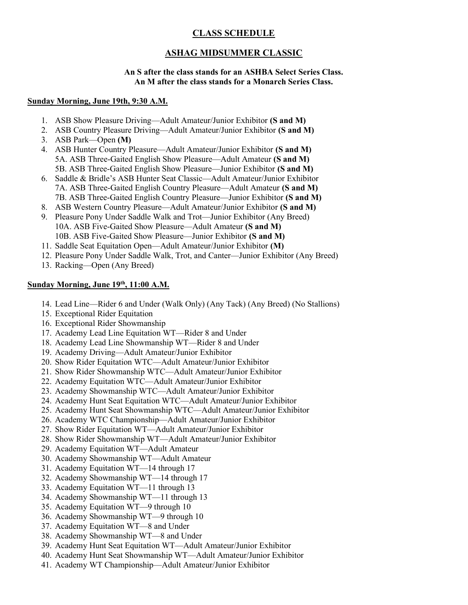# CLASS SCHEDULE

### ASHAG MIDSUMMER CLASSIC

### An S after the class stands for an ASHBA Select Series Class. An M after the class stands for a Monarch Series Class.

#### Sunday Morning, June 19th, 9:30 A.M.

- 1. ASB Show Pleasure Driving—Adult Amateur/Junior Exhibitor (S and M)
- 2. ASB Country Pleasure Driving—Adult Amateur/Junior Exhibitor (S and M)
- 3. ASB Park—Open (M)
- 4. ASB Hunter Country Pleasure—Adult Amateur/Junior Exhibitor (S and M) 5A. ASB Three-Gaited English Show Pleasure—Adult Amateur (S and M) 5B. ASB Three-Gaited English Show Pleasure—Junior Exhibitor (S and M)
- 6. Saddle & Bridle's ASB Hunter Seat Classic—Adult Amateur/Junior Exhibitor 7A. ASB Three-Gaited English Country Pleasure—Adult Amateur (S and M) 7B. ASB Three-Gaited English Country Pleasure—Junior Exhibitor (S and M)
- 8. ASB Western Country Pleasure—Adult Amateur/Junior Exhibitor (S and M)
- 9. Pleasure Pony Under Saddle Walk and Trot—Junior Exhibitor (Any Breed) 10A. ASB Five-Gaited Show Pleasure—Adult Amateur (S and M) 10B. ASB Five-Gaited Show Pleasure—Junior Exhibitor (S and M)
- 11. Saddle Seat Equitation Open—Adult Amateur/Junior Exhibitor (M)
- 12. Pleasure Pony Under Saddle Walk, Trot, and Canter—Junior Exhibitor (Any Breed)
- 13. Racking—Open (Any Breed)

#### Sunday Morning, June 19th, 11:00 A.M.

- 14. Lead Line—Rider 6 and Under (Walk Only) (Any Tack) (Any Breed) (No Stallions)
- 15. Exceptional Rider Equitation
- 16. Exceptional Rider Showmanship
- 17. Academy Lead Line Equitation WT—Rider 8 and Under
- 18. Academy Lead Line Showmanship WT—Rider 8 and Under
- 19. Academy Driving—Adult Amateur/Junior Exhibitor
- 20. Show Rider Equitation WTC—Adult Amateur/Junior Exhibitor
- 21. Show Rider Showmanship WTC—Adult Amateur/Junior Exhibitor
- 22. Academy Equitation WTC—Adult Amateur/Junior Exhibitor
- 23. Academy Showmanship WTC—Adult Amateur/Junior Exhibitor
- 24. Academy Hunt Seat Equitation WTC—Adult Amateur/Junior Exhibitor
- 25. Academy Hunt Seat Showmanship WTC—Adult Amateur/Junior Exhibitor
- 26. Academy WTC Championship—Adult Amateur/Junior Exhibitor
- 27. Show Rider Equitation WT—Adult Amateur/Junior Exhibitor
- 28. Show Rider Showmanship WT—Adult Amateur/Junior Exhibitor
- 29. Academy Equitation WT—Adult Amateur
- 30. Academy Showmanship WT—Adult Amateur
- 31. Academy Equitation WT—14 through 17
- 32. Academy Showmanship WT—14 through 17
- 33. Academy Equitation WT—11 through 13
- 34. Academy Showmanship WT—11 through 13
- 35. Academy Equitation WT—9 through 10
- 36. Academy Showmanship WT—9 through 10
- 37. Academy Equitation WT—8 and Under
- 38. Academy Showmanship WT—8 and Under
- 39. Academy Hunt Seat Equitation WT—Adult Amateur/Junior Exhibitor
- 40. Academy Hunt Seat Showmanship WT—Adult Amateur/Junior Exhibitor
- 41. Academy WT Championship—Adult Amateur/Junior Exhibitor